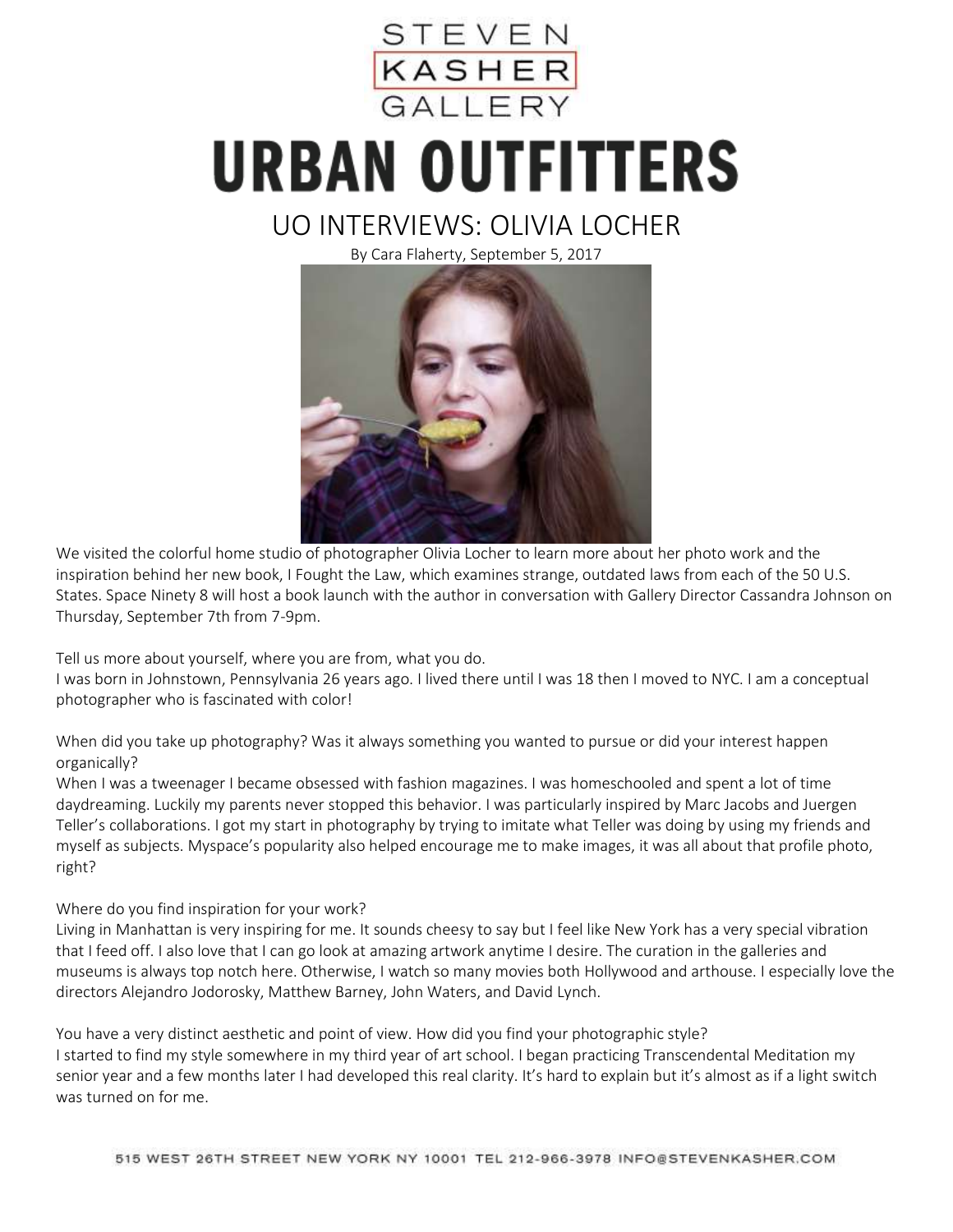

## **URBAN OUTFITTERS**

## UO INTERVIEWS: OLIVIA LOCHER

By Cara Flaherty, September 5, 2017



We visited the colorful home studio of photographer Olivia Locher to learn more about her photo work and the inspiration behind her new book, I Fought the Law, which examines strange, outdated laws from each of the 50 U.S. States. Space Ninety 8 will host a book launch with the author in conversation with Gallery Director Cassandra Johnson on Thursday, September 7th from 7-9pm.

Tell us more about yourself, where you are from, what you do.

I was born in Johnstown, Pennsylvania 26 years ago. I lived there until I was 18 then I moved to NYC. I am a conceptual photographer who is fascinated with color!

When did you take up photography? Was it always something you wanted to pursue or did your interest happen organically?

When I was a tweenager I became obsessed with fashion magazines. I was homeschooled and spent a lot of time daydreaming. Luckily my parents never stopped this behavior. I was particularly inspired by Marc Jacobs and Juergen Teller's collaborations. I got my start in photography by trying to imitate what Teller was doing by using my friends and myself as subjects. Myspace's popularity also helped encourage me to make images, it was all about that profile photo, right?

Where do you find inspiration for your work?

Living in Manhattan is very inspiring for me. It sounds cheesy to say but I feel like New York has a very special vibration that I feed off. I also love that I can go look at amazing artwork anytime I desire. The curation in the galleries and museums is always top notch here. Otherwise, I watch so many movies both Hollywood and arthouse. I especially love the directors Alejandro Jodorosky, Matthew Barney, John Waters, and David Lynch.

You have a very distinct aesthetic and point of view. How did you find your photographic style? I started to find my style somewhere in my third year of art school. I began practicing Transcendental Meditation my senior year and a few months later I had developed this real clarity. It's hard to explain but it's almost as if a light switch was turned on for me.